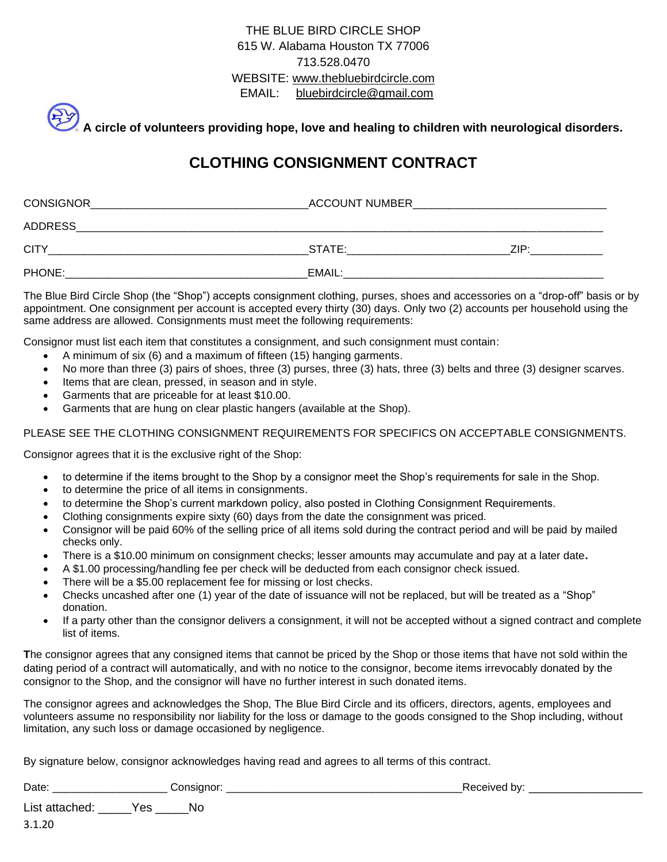## THE BLUE BIRD CIRCLE SHOP 615 W. Alabama Houston TX 77006 713.528.0470 WEBSITE: www.thebluebirdcircle.com EMAIL: [bluebirdcircle@gmail.com](mailto:bluebirdcircle@gmail.com)

**A circle of volunteers providing hope, love and healing to children with neurological disorders.**

## **CLOTHING CONSIGNMENT CONTRACT**

| <b>CONSIGNOR</b> | <b>ACCOUNT NUMBER</b> |      |  |  |
|------------------|-----------------------|------|--|--|
| <b>ADDRESS</b>   |                       |      |  |  |
| <b>CITY</b>      | STATE:                | 7IP· |  |  |
| PHONE:           | EMAIL:                |      |  |  |

The Blue Bird Circle Shop (the "Shop") accepts consignment clothing, purses, shoes and accessories on a "drop-off" basis or by appointment. One consignment per account is accepted every thirty (30) days. Only two (2) accounts per household using the same address are allowed. Consignments must meet the following requirements:

Consignor must list each item that constitutes a consignment, and such consignment must contain:

- A minimum of six (6) and a maximum of fifteen (15) hanging garments.
- No more than three (3) pairs of shoes, three (3) purses, three (3) hats, three (3) belts and three (3) designer scarves.
- Items that are clean, pressed, in season and in style.
- Garments that are priceable for at least \$10.00.
- Garments that are hung on clear plastic hangers (available at the Shop).

## PLEASE SEE THE CLOTHING CONSIGNMENT REQUIREMENTS FOR SPECIFICS ON ACCEPTABLE CONSIGNMENTS.

Consignor agrees that it is the exclusive right of the Shop:

- to determine if the items brought to the Shop by a consignor meet the Shop's requirements for sale in the Shop.
- to determine the price of all items in consignments.
- to determine the Shop's current markdown policy, also posted in Clothing Consignment Requirements.
- Clothing consignments expire sixty (60) days from the date the consignment was priced.
- Consignor will be paid 60% of the selling price of all items sold during the contract period and will be paid by mailed checks only.
- There is a \$10.00 minimum on consignment checks; lesser amounts may accumulate and pay at a later date**.**
- A \$1.00 processing/handling fee per check will be deducted from each consignor check issued.
- There will be a \$5.00 replacement fee for missing or lost checks.
- Checks uncashed after one (1) year of the date of issuance will not be replaced, but will be treated as a "Shop" donation.
- If a party other than the consignor delivers a consignment, it will not be accepted without a signed contract and complete list of items.

**T**he consignor agrees that any consigned items that cannot be priced by the Shop or those items that have not sold within the dating period of a contract will automatically, and with no notice to the consignor, become items irrevocably donated by the consignor to the Shop, and the consignor will have no further interest in such donated items.

The consignor agrees and acknowledges the Shop, The Blue Bird Circle and its officers, directors, agents, employees and volunteers assume no responsibility nor liability for the loss or damage to the goods consigned to the Shop including, without limitation, any such loss or damage occasioned by negligence.

By signature below, consignor acknowledges having read and agrees to all terms of this contract.

| Date | --<br><b></b><br>. . | . |  |
|------|----------------------|---|--|
|      |                      |   |  |

List attached: \_\_\_\_\_Yes \_\_\_\_\_No

3.1.20